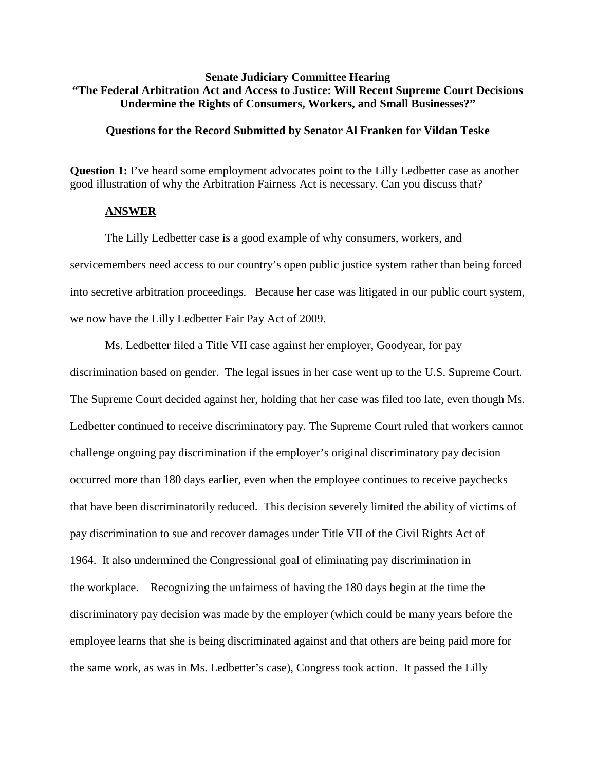# **Senate Judiciary Committee Hearing "The Federal Arbitration Act and Access to Justice: Will Recent Supreme Court Decisions Undermine the Rights of Consumers, Workers, and Small Businesses?"**

### **Questions for the Record Submitted by Senator Al Franken for Vildan Teske**

**Question 1:** I've heard some employment advocates point to the Lilly Ledbetter case as another good illustration of why the Arbitration Fairness Act is necessary. Can you discuss that?

### **ANSWER**

The Lilly Ledbetter case is a good example of why consumers, workers, and servicemembers need access to our country's open public justice system rather than being forced into secretive arbitration proceedings. Because her case was litigated in our public court system, we now have the Lilly Ledbetter Fair Pay Act of 2009.

Ms. Ledbetter filed a Title VII case against her employer, Goodyear, for pay discrimination based on gender. The legal issues in her case went up to the U.S. Supreme Court. The Supreme Court decided against her, holding that her case was filed too late, even though Ms. Ledbetter continued to receive discriminatory pay. The Supreme Court ruled that workers cannot challenge ongoing pay discrimination if the employer's original discriminatory pay decision occurred more than 180 days earlier, even when the employee continues to receive paychecks that have been discriminatorily reduced. This decision severely limited the ability of victims of pay discrimination to sue and recover damages under Title VII of the Civil Rights Act of 1964. It also undermined the Congressional goal of eliminating pay discrimination in the workplace. Recognizing the unfairness of having the 180 days begin at the time the discriminatory pay decision was made by the employer (which could be many years before the employee learns that she is being discriminated against and that others are being paid more for the same work, as was in Ms. Ledbetter's case), Congress took action. It passed the Lilly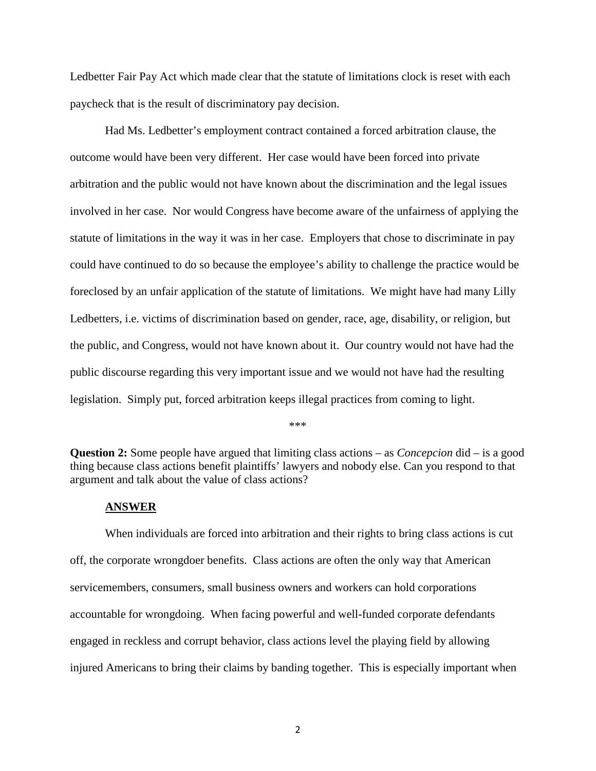Ledbetter Fair Pay Act which made clear that the statute of limitations clock is reset with each paycheck that is the result of discriminatory pay decision.

Had Ms. Ledbetter's employment contract contained a forced arbitration clause, the outcome would have been very different. Her case would have been forced into private arbitration and the public would not have known about the discrimination and the legal issues involved in her case. Nor would Congress have become aware of the unfairness of applying the statute of limitations in the way it was in her case. Employers that chose to discriminate in pay could have continued to do so because the employee's ability to challenge the practice would be foreclosed by an unfair application of the statute of limitations. We might have had many Lilly Ledbetters, i.e. victims of discrimination based on gender, race, age, disability, or religion, but the public, and Congress, would not have known about it. Our country would not have had the public discourse regarding this very important issue and we would not have had the resulting legislation. Simply put, forced arbitration keeps illegal practices from coming to light.

\*\*\*

**Question 2:** Some people have argued that limiting class actions – as *Concepcion* did – is a good thing because class actions benefit plaintiffs' lawyers and nobody else. Can you respond to that argument and talk about the value of class actions?

#### **ANSWER**

When individuals are forced into arbitration and their rights to bring class actions is cut off, the corporate wrongdoer benefits. Class actions are often the only way that American servicemembers, consumers, small business owners and workers can hold corporations accountable for wrongdoing. When facing powerful and well-funded corporate defendants engaged in reckless and corrupt behavior, class actions level the playing field by allowing injured Americans to bring their claims by banding together. This is especially important when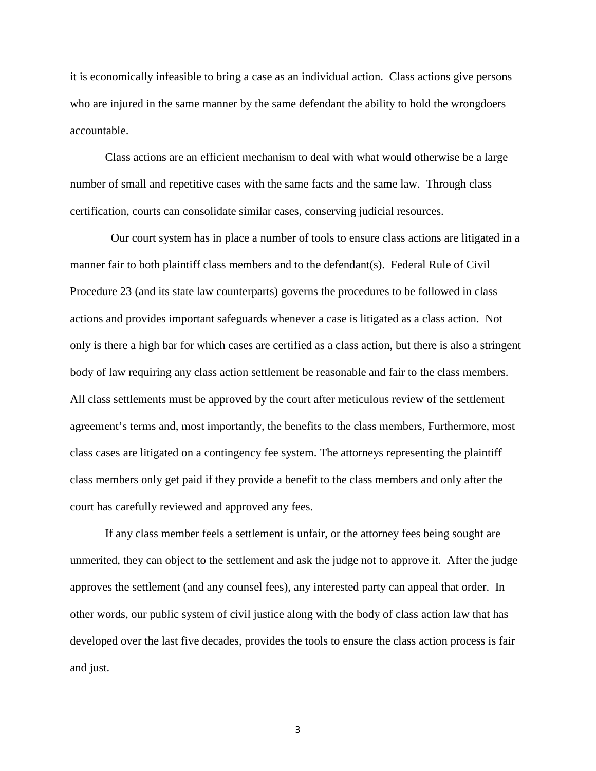it is economically infeasible to bring a case as an individual action. Class actions give persons who are injured in the same manner by the same defendant the ability to hold the wrongdoers accountable.

Class actions are an efficient mechanism to deal with what would otherwise be a large number of small and repetitive cases with the same facts and the same law. Through class certification, courts can consolidate similar cases, conserving judicial resources.

Our court system has in place a number of tools to ensure class actions are litigated in a manner fair to both plaintiff class members and to the defendant(s). Federal Rule of Civil Procedure 23 (and its state law counterparts) governs the procedures to be followed in class actions and provides important safeguards whenever a case is litigated as a class action. Not only is there a high bar for which cases are certified as a class action, but there is also a stringent body of law requiring any class action settlement be reasonable and fair to the class members. All class settlements must be approved by the court after meticulous review of the settlement agreement's terms and, most importantly, the benefits to the class members, Furthermore, most class cases are litigated on a contingency fee system. The attorneys representing the plaintiff class members only get paid if they provide a benefit to the class members and only after the court has carefully reviewed and approved any fees.

If any class member feels a settlement is unfair, or the attorney fees being sought are unmerited, they can object to the settlement and ask the judge not to approve it. After the judge approves the settlement (and any counsel fees), any interested party can appeal that order. In other words, our public system of civil justice along with the body of class action law that has developed over the last five decades, provides the tools to ensure the class action process is fair and just.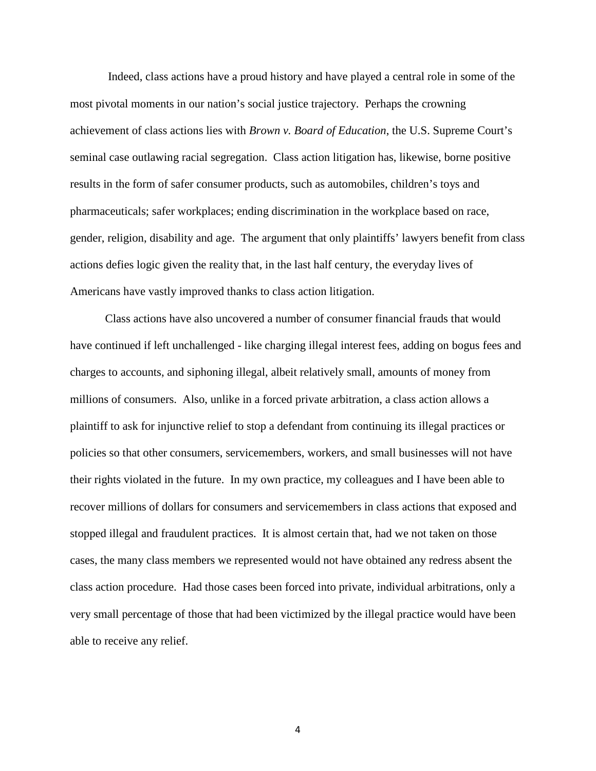Indeed, class actions have a proud history and have played a central role in some of the most pivotal moments in our nation's social justice trajectory. Perhaps the crowning achievement of class actions lies with *Brown v. Board of Education*, the U.S. Supreme Court's seminal case outlawing racial segregation. Class action litigation has, likewise, borne positive results in the form of safer consumer products, such as automobiles, children's toys and pharmaceuticals; safer workplaces; ending discrimination in the workplace based on race, gender, religion, disability and age. The argument that only plaintiffs' lawyers benefit from class actions defies logic given the reality that, in the last half century, the everyday lives of Americans have vastly improved thanks to class action litigation.

Class actions have also uncovered a number of consumer financial frauds that would have continued if left unchallenged - like charging illegal interest fees, adding on bogus fees and charges to accounts, and siphoning illegal, albeit relatively small, amounts of money from millions of consumers. Also, unlike in a forced private arbitration, a class action allows a plaintiff to ask for injunctive relief to stop a defendant from continuing its illegal practices or policies so that other consumers, servicemembers, workers, and small businesses will not have their rights violated in the future. In my own practice, my colleagues and I have been able to recover millions of dollars for consumers and servicemembers in class actions that exposed and stopped illegal and fraudulent practices. It is almost certain that, had we not taken on those cases, the many class members we represented would not have obtained any redress absent the class action procedure. Had those cases been forced into private, individual arbitrations, only a very small percentage of those that had been victimized by the illegal practice would have been able to receive any relief.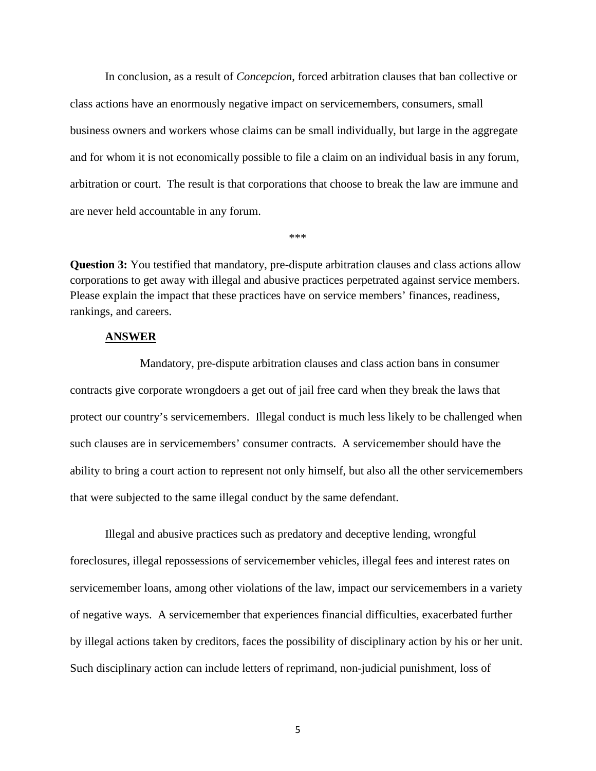In conclusion, as a result of *Concepcion*, forced arbitration clauses that ban collective or class actions have an enormously negative impact on servicemembers, consumers, small business owners and workers whose claims can be small individually, but large in the aggregate and for whom it is not economically possible to file a claim on an individual basis in any forum*,*  arbitration or court. The result is that corporations that choose to break the law are immune and are never held accountable in any forum.

\*\*\*

**Question 3:** You testified that mandatory, pre-dispute arbitration clauses and class actions allow corporations to get away with illegal and abusive practices perpetrated against service members. Please explain the impact that these practices have on service members' finances, readiness, rankings, and careers.

## **ANSWER**

Mandatory, pre-dispute arbitration clauses and class action bans in consumer contracts give corporate wrongdoers a get out of jail free card when they break the laws that protect our country's servicemembers. Illegal conduct is much less likely to be challenged when such clauses are in servicemembers' consumer contracts. A servicemember should have the ability to bring a court action to represent not only himself, but also all the other servicemembers that were subjected to the same illegal conduct by the same defendant.

Illegal and abusive practices such as predatory and deceptive lending, wrongful foreclosures, illegal repossessions of servicemember vehicles, illegal fees and interest rates on servicemember loans, among other violations of the law, impact our servicemembers in a variety of negative ways. A servicemember that experiences financial difficulties, exacerbated further by illegal actions taken by creditors, faces the possibility of disciplinary action by his or her unit. Such disciplinary action can include letters of reprimand, non-judicial punishment, loss of